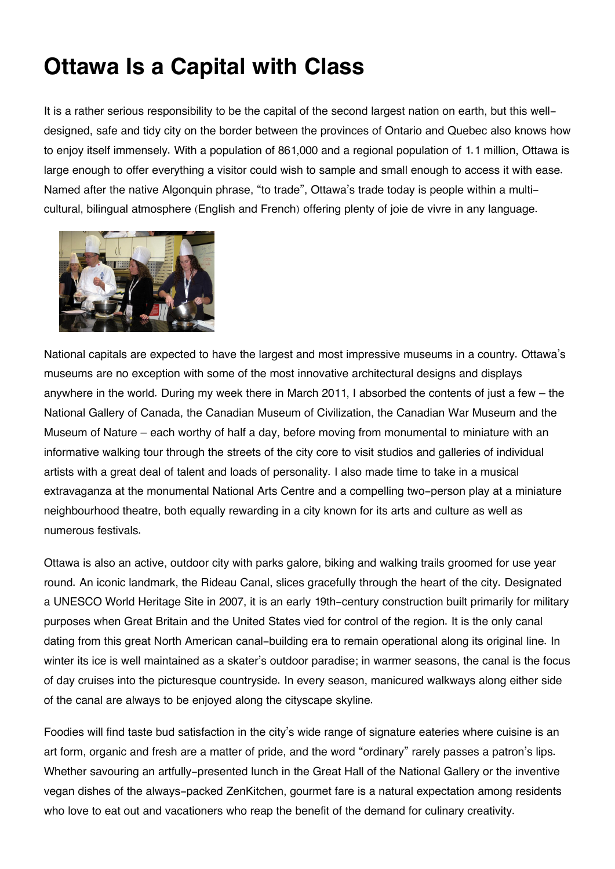## **Ottawa Is a Capital with Class**

It is a rather serious responsibility to be the capital of the second largest nation on earth, but this welldesigned, safe and tidy city on the border between the provinces of Ontario and Quebec also knows how to enjoy itself immensely. With a population of 861,000 and a regional population of 1.1 million, Ottawa is large enough to offer everything a visitor could wish to sample and small enough to access it with ease. Named after the native Algonquin phrase, "to trade", Ottawa's trade today is people within a multicultural, bilingual atmosphere (English and French) offering plenty of joie de vivre in any language.



National capitals are expected to have the largest and most impressive museums in a country. Ottawa's museums are no exception with some of the most innovative architectural designs and displays anywhere in the world. During my week there in March 2011, I absorbed the contents of just a few – the National Gallery of Canada, the Canadian Museum of Civilization, the Canadian War Museum and the Museum of Nature – each worthy of half a day, before moving from monumental to miniature with an informative walking tour through the streets of the city core to visit studios and galleries of individual artists with a great deal of talent and loads of personality. I also made time to take in a musical extravaganza at the monumental National Arts Centre and a compelling two-person play at a miniature neighbourhood theatre, both equally rewarding in a city known for its arts and culture as well as numerous festivals.

Ottawa is also an active, outdoor city with parks galore, biking and walking trails groomed for use year round. An iconic landmark, the Rideau Canal, slices gracefully through the heart of the city. Designated a UNESCO World Heritage Site in 2007, it is an early 19th-century construction built primarily for military purposes when Great Britain and the United States vied for control of the region. It is the only canal dating from this great North American canal-building era to remain operational along its original line. In winter its ice is well maintained as a skater's outdoor paradise; in warmer seasons, the canal is the focus of day cruises into the picturesque countryside. In every season, manicured walkways along either side of the canal are always to be enjoyed along the cityscape skyline.

Foodies will find taste bud satisfaction in the city's wide range of signature eateries where cuisine is an art form, organic and fresh are a matter of pride, and the word "ordinary" rarely passes a patron's lips. Whether savouring an artfully-presented lunch in the Great Hall of the National Gallery or the inventive vegan dishes of the always-packed ZenKitchen, gourmet fare is a natural expectation among residents who love to eat out and vacationers who reap the benefit of the demand for culinary creativity.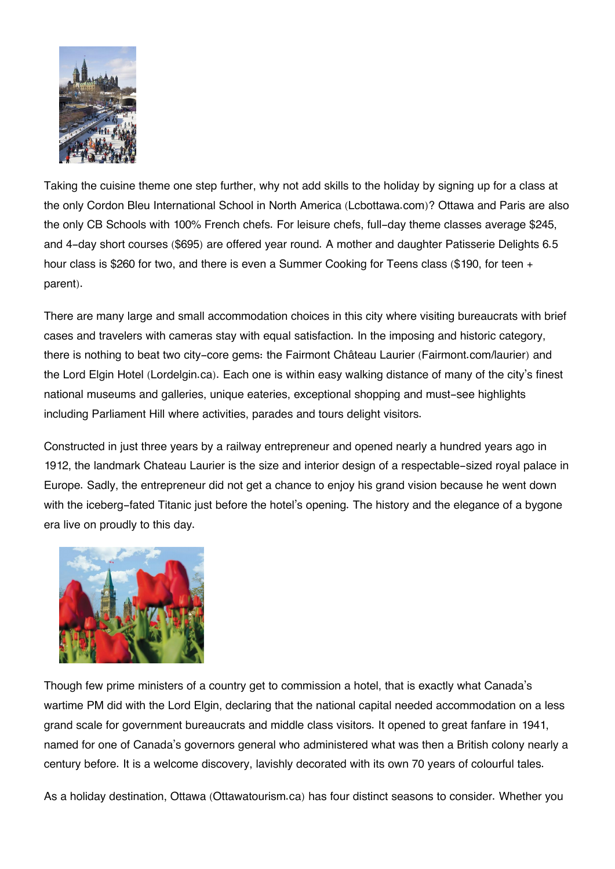

Taking the cuisine theme one step further, why not add skills to the holiday by signing up for a class at the only Cordon Bleu International School in North America (Lcbottawa.com)? Ottawa and Paris are also the only CB Schools with 100% French chefs. For leisure chefs, full-day theme classes average \$245, and 4-day short courses (\$695) are offered year round. A mother and daughter Patisserie Delights 6.5 hour class is \$260 for two, and there is even a Summer Cooking for Teens class (\$190, for teen + parent).

There are many large and small accommodation choices in this city where visiting bureaucrats with brief cases and travelers with cameras stay with equal satisfaction. In the imposing and historic category, there is nothing to beat two city-core gems: the Fairmont Château Laurier (Fairmont.com/laurier) and the Lord Elgin Hotel (Lordelgin.ca). Each one is within easy walking distance of many of the city's finest national museums and galleries, unique eateries, exceptional shopping and must-see highlights including Parliament Hill where activities, parades and tours delight visitors.

Constructed in just three years by a railway entrepreneur and opened nearly a hundred years ago in 1912, the landmark Chateau Laurier is the size and interior design of a respectable-sized royal palace in Europe. Sadly, the entrepreneur did not get a chance to enjoy his grand vision because he went down with the iceberg-fated Titanic just before the hotel's opening. The history and the elegance of a bygone era live on proudly to this day.



Though few prime ministers of a country get to commission a hotel, that is exactly what Canada's wartime PM did with the Lord Elgin, declaring that the national capital needed accommodation on a less grand scale for government bureaucrats and middle class visitors. It opened to great fanfare in 1941, named for one of Canada's governors general who administered what was then a British colony nearly a century before. It is a welcome discovery, lavishly decorated with its own 70 years of colourful tales.

As a holiday destination, Ottawa (Ottawatourism.ca) has four distinct seasons to consider. Whether you